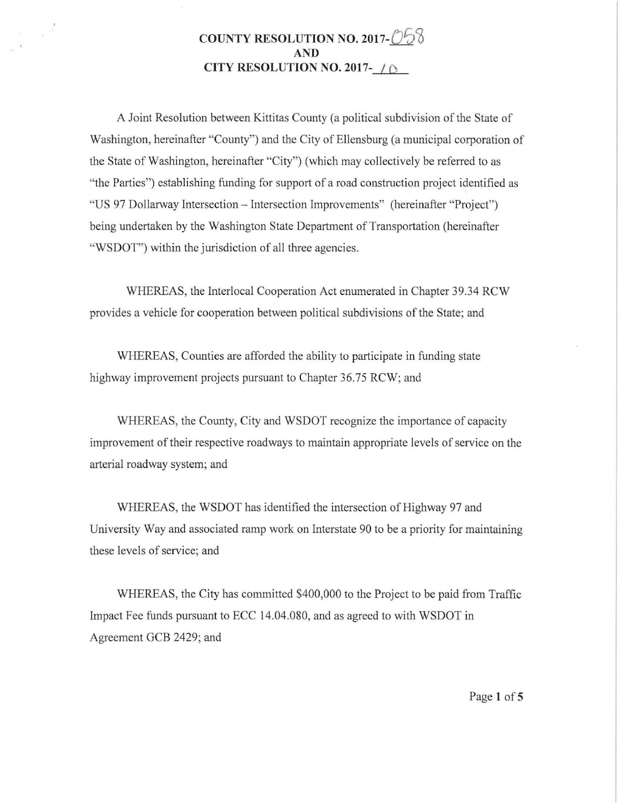## **COUNTY RESOLUTION NO. 2017-058 AND CITY RESOLUTION NO. 2017-**  $\bigcap$

 $\label{eq:zeta} z_{\rm c} = -\frac{1}{8} \frac{1}{\pi}$ 

A Joint Resolution between Kittitas County (a political subdivision of the State of Washington, hereinafter "County") and the City of Ellensburg (a municipal corporation of the State of Washington, hereinafter "City") (which may collectively be referred to as "the Parties") establishing funding for support of a road construction project identified as "US 97 Dollarway Intersection - Intersection Improvements" (hereinafter "Project") being undertaken by the Washington State Department of Transportation (hereinafter "WSDOT") within the jurisdiction of all three agencies.

WHEREAS, the Interlocal Cooperation Act enumerated in Chapter 39.34 RCW provides a vehicle for cooperation between political subdivisions of the State; and

WHEREAS, Counties are afforded the ability to participate in funding state highway improvement projects pursuant to Chapter 36.75 RCW; and

WHEREAS, the County, City and WSDOT recognize the importance of capacity improvement of their respective roadways to maintain appropriate levels of service on the arterial roadway system; and

WHEREAS, the WSDOT has identified the intersection of Highway 97 and University Way and associated ramp work on Interstate 90 to be a priority for maintaining these levels of service; and

WHEREAS, the City has committed \$400,000 to the Project to be paid from Traffic Impact Fee funds pursuant to ECC 14.04.080, and as agreed to with WSDOT in Agreement GCB 2429; and

Page **1of5**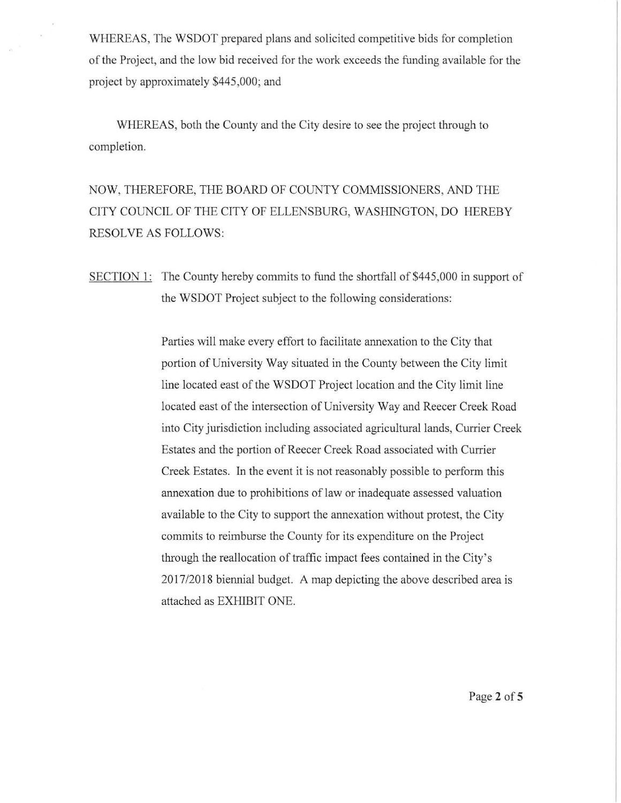WHEREAS, The WSDOT prepared plans and solicited competitive bids for completion of the Project, and the low bid received fo r the work exceeds the funding available for the project by approximately \$445,000; and

WHEREAS, both the County and the City desire to see the project through to completion.

NOW, THEREFORE, THE BOARD OF COUNTY COMMISSIONERS, AND THE CITY COUNCIL OF THE CITY OF ELLENSBURG, WASHINGTON, DO HEREBY RESOLVE AS FOLLOWS:

SECTION 1: The County hereby commits to fund the shortfall of \$445,000 in support of the WSDOT Project subject to the following considerations:

> Parties will make every effort to facilitate annexation to the City that portion of University Way situated in the County between the City limit line located east of the WSDOT Project location and the City limit line located east of the intersection of University Way and Reecer Creek Road into City jurisdiction including associated agricultural lands, Currier Creek Estates and the portion of Reecer Creek Road associated with Currier Creek Estates. In the event it is not reasonably possible to perform this annexation due to prohibitions of law or inadequate assessed valuation available to the City to support the annexation without protest, the City commits to reimburse the County for its expenditure on the Project through the reallocation of traffic impact fees contained in the City's 2017/2018 biennial budget. A map depicting the above described area is attached as EXHIBIT ONE.

> > Page 2 of 5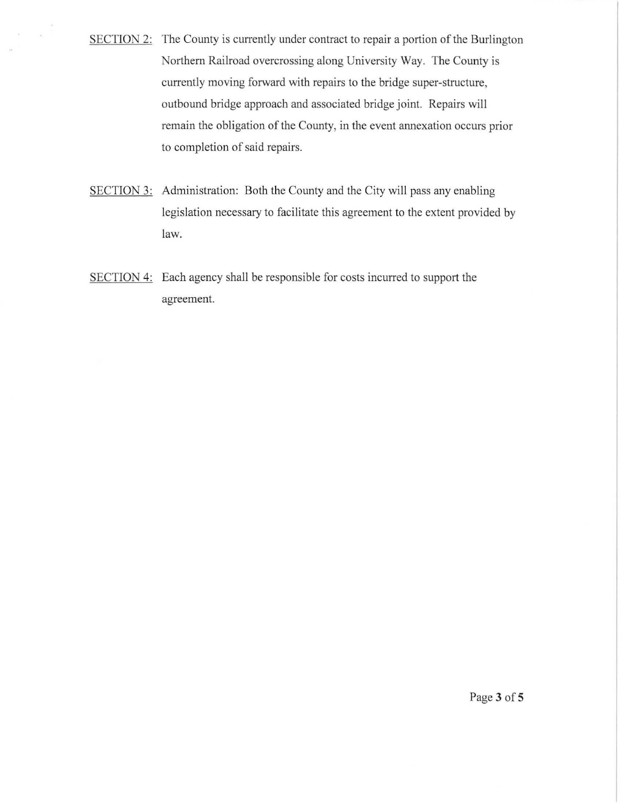SECTION 2: The County is currently under contract to repair a portion of the Burlington Northern Railroad overcrossing along University Way. The County is currently moving forward with repairs to the bridge super-structure, outbound bridge approach and associated bridge joint. Repairs will remain the obligation of the County, in the event annexation occurs prior to completion of said repairs.

 $\bar{\alpha}$ 

- SECTION 3: Administration: Both the County and the City will pass any enabling legislation necessary to facilitate this agreement to the extent provided by law.
- SECTION 4: Each agency shall be responsible for costs incurred to support the agreement.

Page 3 of 5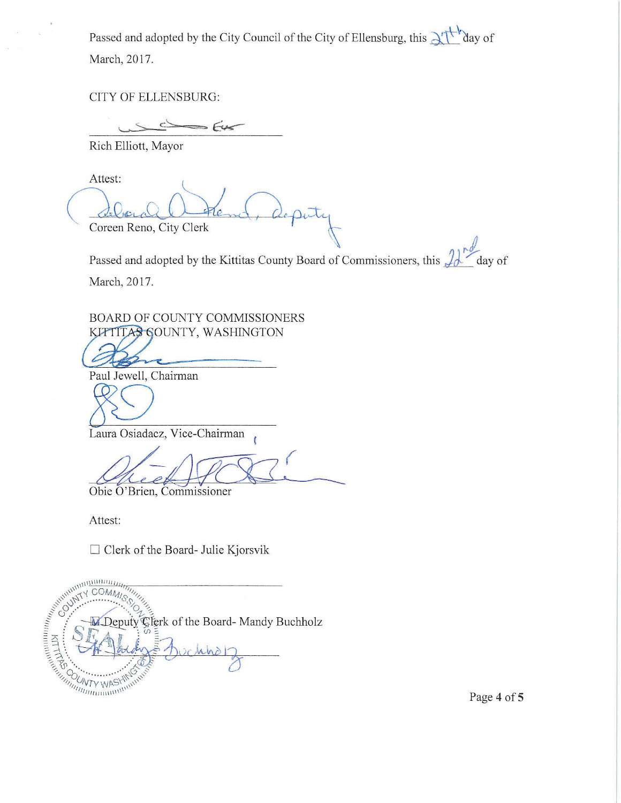Passed and adopted by the City Council of the City of Ellensburg, this  $\lambda_1 + \lambda_2$  aay of March, 2017.

CITY OF ELLENSBURG:

 $\sim$  $=$  $645$ 

Rich Elliott, Mayor

debourge Detens, deputy

Passed and adopted by the Kittitas County Board of Commissioners, this  $\mathcal{L}$  day of March, 2017.

BOARD OF COUNTY COMMISSIONERS KITTITAS GOUNTY, WASHINGTON

Paul Jewell, Chairman

&9 Laura Osiadacz, Vice-Chairman

 $\sqrt{2}$ 

Obie O'Brien, Commissioner

Attest:

 $\Box$  Clerk of the Board- Julie Kjorsvik

A Deputy Deputy Clerk of the Board- Mandy Buchholz  $n$ 

Page 4 of 5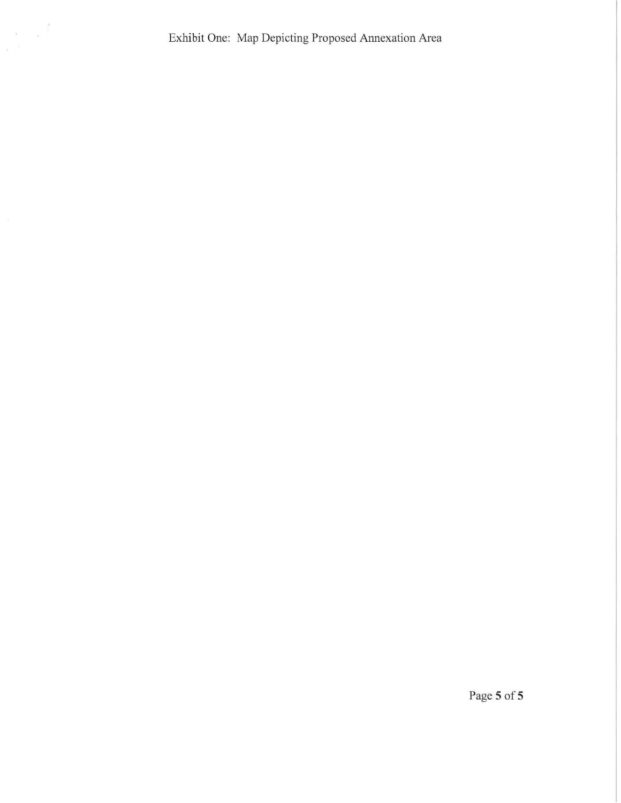Exhibit One: Map Depicting Proposed Annexation Area

 $\frac{1}{\sqrt{2\pi}}\left\| \frac{1}{\sigma_{\rm c}} \right\|^2$ 

Page S of S